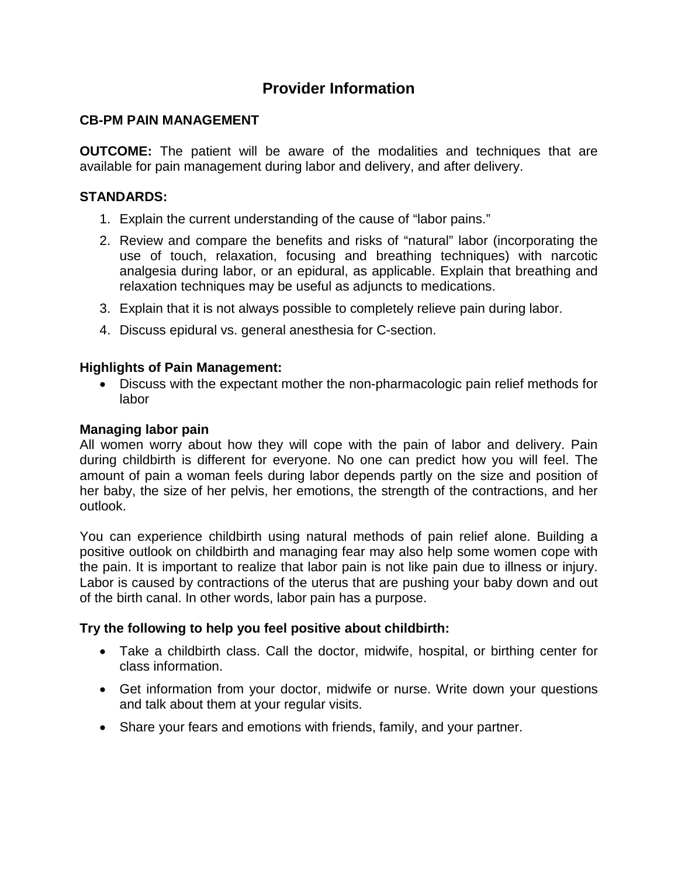# **Provider Information**

## **CB-PM PAIN MANAGEMENT**

**OUTCOME:** The patient will be aware of the modalities and techniques that are available for pain management during labor and delivery, and after delivery.

## **STANDARDS:**

- 1. Explain the current understanding of the cause of "labor pains."
- 2. Review and compare the benefits and risks of "natural" labor (incorporating the use of touch, relaxation, focusing and breathing techniques) with narcotic analgesia during labor, or an epidural, as applicable. Explain that breathing and relaxation techniques may be useful as adjuncts to medications.
- 3. Explain that it is not always possible to completely relieve pain during labor.
- 4. Discuss epidural vs. general anesthesia for C-section.

#### **Highlights of Pain Management:**

• Discuss with the expectant mother the non-pharmacologic pain relief methods for labor

## **Managing labor pain**

All women worry about how they will cope with the pain of labor and delivery. Pain during childbirth is different for everyone. No one can predict how you will feel. The amount of pain a woman feels during labor depends partly on the size and position of her baby, the size of her pelvis, her emotions, the strength of the contractions, and her outlook.

You can experience childbirth using natural methods of pain relief alone. Building a positive outlook on childbirth and managing fear may also help some women cope with the pain. It is important to realize that labor pain is not like pain due to illness or injury. Labor is caused by contractions of the uterus that are pushing your baby down and out of the birth canal. In other words, labor pain has a purpose.

#### **Try the following to help you feel positive about childbirth:**

- Take a childbirth class. Call the doctor, midwife, hospital, or birthing center for class information.
- Get information from your doctor, midwife or nurse. Write down your questions and talk about them at your regular visits.
- Share your fears and emotions with friends, family, and your partner.